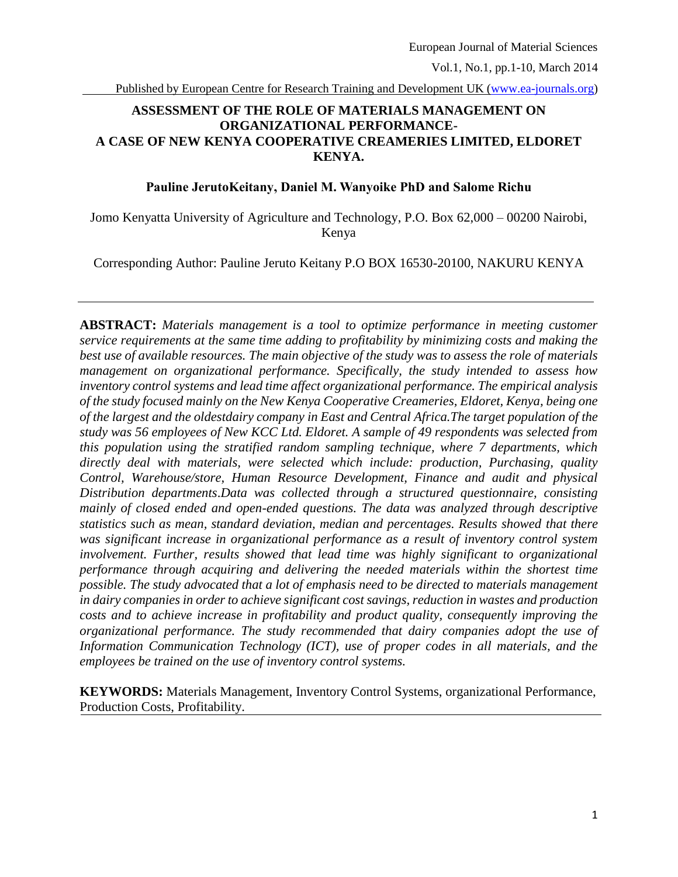Published by European Centre for Research Training and Development UK [\(www.ea-journals.org\)](http://www.ea-journals.org/)

## **ASSESSMENT OF THE ROLE OF MATERIALS MANAGEMENT ON ORGANIZATIONAL PERFORMANCE-A CASE OF NEW KENYA COOPERATIVE CREAMERIES LIMITED, ELDORET KENYA.**

### **Pauline JerutoKeitany, Daniel M. Wanyoike PhD and Salome Richu**

Jomo Kenyatta University of Agriculture and Technology, P.O. Box 62,000 – 00200 Nairobi, Kenya

Corresponding Author: Pauline Jeruto Keitany P.O BOX 16530-20100, NAKURU KENYA

**ABSTRACT:** *Materials management is a tool to optimize performance in meeting customer service requirements at the same time adding to profitability by minimizing costs and making the best use of available resources. The main objective of the study was to assess the role of materials management on organizational performance. Specifically, the study intended to assess how inventory control systems and lead time affect organizational performance. The empirical analysis of the study focused mainly on the New Kenya Cooperative Creameries, Eldoret, Kenya, being one of the largest and the oldestdairy company in East and Central Africa.The target population of the study was 56 employees of New KCC Ltd. Eldoret. A sample of 49 respondents was selected from this population using the stratified random sampling technique, where 7 departments, which directly deal with materials, were selected which include: production, Purchasing, quality Control, Warehouse/store, Human Resource Development, Finance and audit and physical Distribution departments*.*Data was collected through a structured questionnaire, consisting mainly of closed ended and open-ended questions. The data was analyzed through descriptive statistics such as mean, standard deviation, median and percentages. Results showed that there was significant increase in organizational performance as a result of inventory control system involvement. Further, results showed that lead time was highly significant to organizational performance through acquiring and delivering the needed materials within the shortest time possible. The study advocated that a lot of emphasis need to be directed to materials management in dairy companies in order to achieve significant cost savings, reduction in wastes and production costs and to achieve increase in profitability and product quality, consequently improving the organizational performance. The study recommended that dairy companies adopt the use of Information Communication Technology (ICT), use of proper codes in all materials, and the employees be trained on the use of inventory control systems.*

**KEYWORDS:** Materials Management, Inventory Control Systems, organizational Performance, Production Costs, Profitability.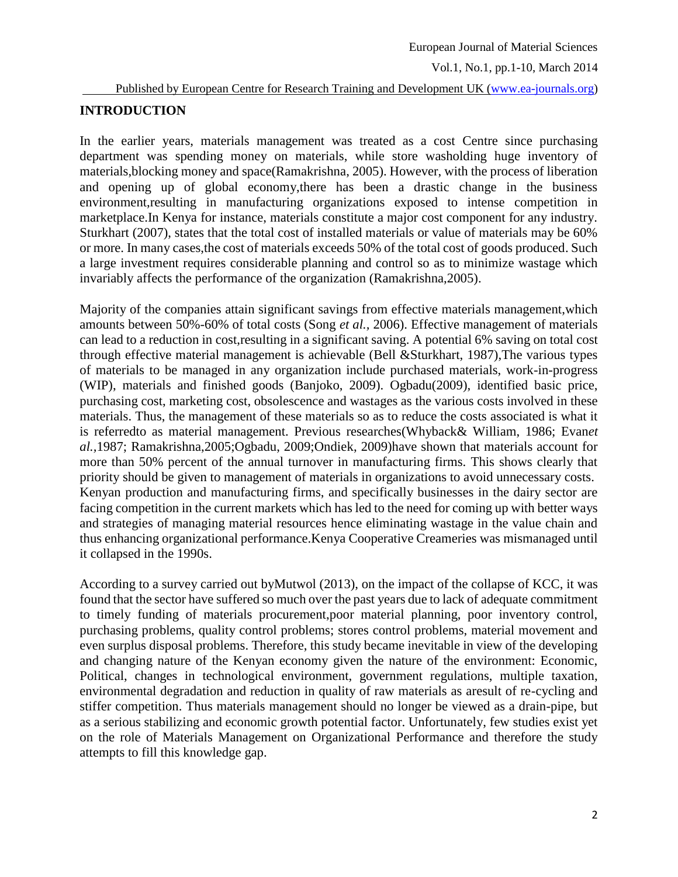#### Published by European Centre for Research Training and Development UK [\(www.ea-journals.org\)](http://www.ea-journals.org/)

## **INTRODUCTION**

In the earlier years, materials management was treated as a cost Centre since purchasing department was spending money on materials, while store washolding huge inventory of materials,blocking money and space(Ramakrishna, 2005). However, with the process of liberation and opening up of global economy,there has been a drastic change in the business environment,resulting in manufacturing organizations exposed to intense competition in marketplace.In Kenya for instance, materials constitute a major cost component for any industry. Sturkhart (2007), states that the total cost of installed materials or value of materials may be 60% or more. In many cases,the cost of materials exceeds 50% of the total cost of goods produced. Such a large investment requires considerable planning and control so as to minimize wastage which invariably affects the performance of the organization (Ramakrishna,2005).

Majority of the companies attain significant savings from effective materials management,which amounts between 50%-60% of total costs (Song *et al.,* 2006). Effective management of materials can lead to a reduction in cost,resulting in a significant saving. A potential 6% saving on total cost through effective material management is achievable (Bell &Sturkhart, 1987),The various types of materials to be managed in any organization include purchased materials, work-in-progress (WIP), materials and finished goods (Banjoko, 2009). Ogbadu(2009), identified basic price, purchasing cost, marketing cost, obsolescence and wastages as the various costs involved in these materials. Thus, the management of these materials so as to reduce the costs associated is what it is referredto as material management. Previous researches(Whyback& William, 1986; Evan*et al.,*1987; Ramakrishna,2005;Ogbadu, 2009;Ondiek, 2009)have shown that materials account for more than 50% percent of the annual turnover in manufacturing firms. This shows clearly that priority should be given to management of materials in organizations to avoid unnecessary costs. Kenyan production and manufacturing firms, and specifically businesses in the dairy sector are facing competition in the current markets which has led to the need for coming up with better ways and strategies of managing material resources hence eliminating wastage in the value chain and thus enhancing organizational performance.Kenya Cooperative Creameries was mismanaged until it collapsed in the 1990s.

According to a survey carried out byMutwol (2013), on the impact of the collapse of KCC, it was found that the sector have suffered so much over the past years due to lack of adequate commitment to timely funding of materials procurement,poor material planning, poor inventory control, purchasing problems, quality control problems; stores control problems, material movement and even surplus disposal problems. Therefore, this study became inevitable in view of the developing and changing nature of the Kenyan economy given the nature of the environment: Economic, Political, changes in technological environment, government regulations, multiple taxation, environmental degradation and reduction in quality of raw materials as aresult of re-cycling and stiffer competition. Thus materials management should no longer be viewed as a drain-pipe, but as a serious stabilizing and economic growth potential factor. Unfortunately, few studies exist yet on the role of Materials Management on Organizational Performance and therefore the study attempts to fill this knowledge gap.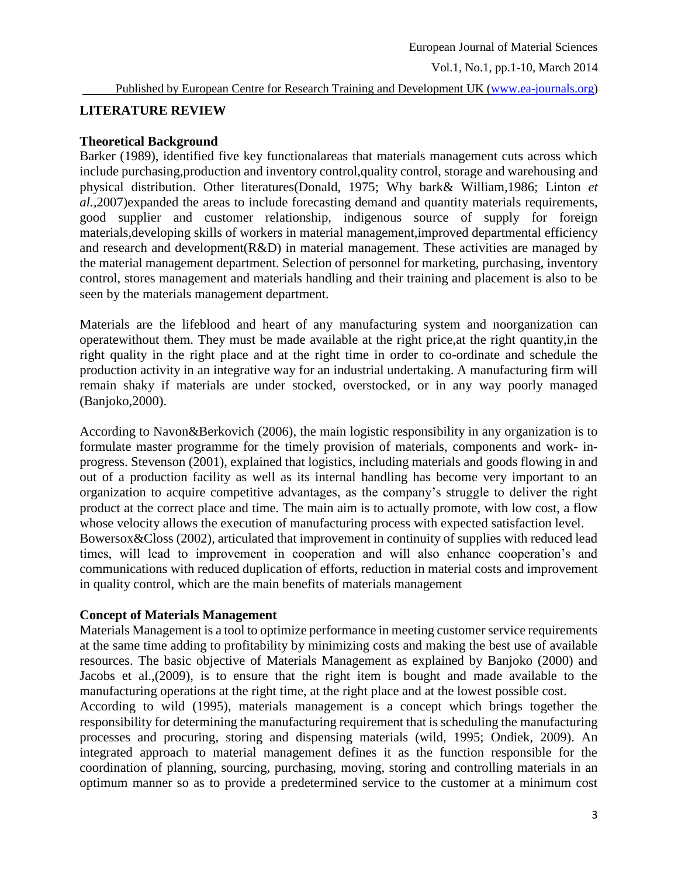#### Published by European Centre for Research Training and Development UK [\(www.ea-journals.org\)](http://www.ea-journals.org/)

### **LITERATURE REVIEW**

### **Theoretical Background**

Barker (1989), identified five key functionalareas that materials management cuts across which include purchasing, production and inventory control, quality control, storage and warehousing and physical distribution. Other literatures(Donald, 1975; Why bark& William,1986; Linton *et al.,*2007)expanded the areas to include forecasting demand and quantity materials requirements, good supplier and customer relationship, indigenous source of supply for foreign materials,developing skills of workers in material management,improved departmental efficiency and research and development(R&D) in material management. These activities are managed by the material management department. Selection of personnel for marketing, purchasing, inventory control, stores management and materials handling and their training and placement is also to be seen by the materials management department.

Materials are the lifeblood and heart of any manufacturing system and noorganization can operatewithout them. They must be made available at the right price,at the right quantity,in the right quality in the right place and at the right time in order to co-ordinate and schedule the production activity in an integrative way for an industrial undertaking. A manufacturing firm will remain shaky if materials are under stocked, overstocked, or in any way poorly managed (Banjoko,2000).

According to Navon&Berkovich (2006), the main logistic responsibility in any organization is to formulate master programme for the timely provision of materials, components and work- inprogress. Stevenson (2001), explained that logistics, including materials and goods flowing in and out of a production facility as well as its internal handling has become very important to an organization to acquire competitive advantages, as the company's struggle to deliver the right product at the correct place and time. The main aim is to actually promote, with low cost, a flow whose velocity allows the execution of manufacturing process with expected satisfaction level. Bowersox&Closs (2002), articulated that improvement in continuity of supplies with reduced lead times, will lead to improvement in cooperation and will also enhance cooperation's and communications with reduced duplication of efforts, reduction in material costs and improvement in quality control, which are the main benefits of materials management

#### **Concept of Materials Management**

Materials Management is a tool to optimize performance in meeting customer service requirements at the same time adding to profitability by minimizing costs and making the best use of available resources. The basic objective of Materials Management as explained by Banjoko (2000) and Jacobs et al.,(2009), is to ensure that the right item is bought and made available to the manufacturing operations at the right time, at the right place and at the lowest possible cost.

According to wild (1995), materials management is a concept which brings together the responsibility for determining the manufacturing requirement that is scheduling the manufacturing processes and procuring, storing and dispensing materials (wild, 1995; Ondiek, 2009). An integrated approach to material management defines it as the function responsible for the coordination of planning, sourcing, purchasing, moving, storing and controlling materials in an optimum manner so as to provide a predetermined service to the customer at a minimum cost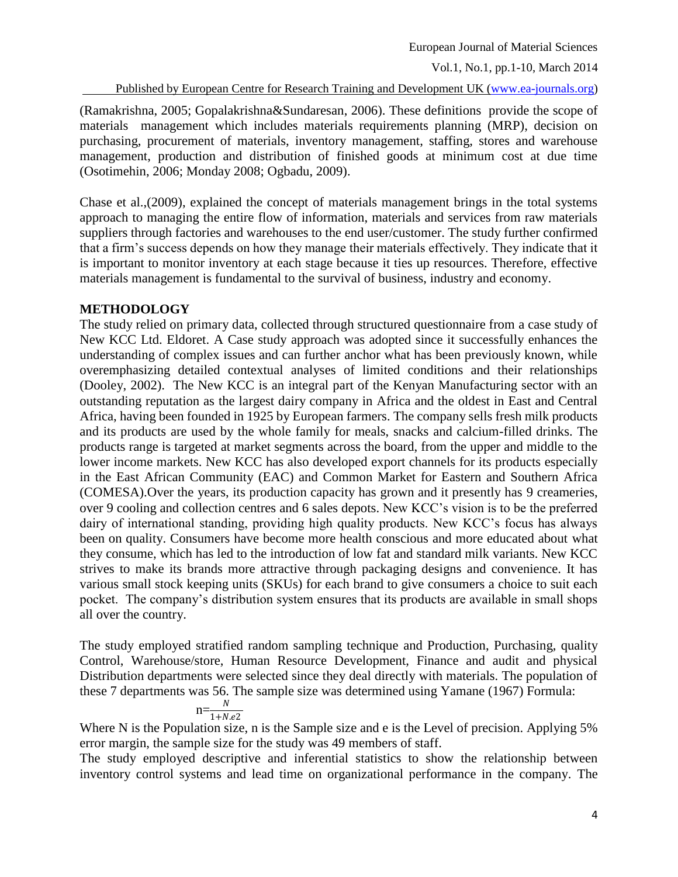European Journal of Material Sciences

Vol.1, No.1, pp.1-10, March 2014

Published by European Centre for Research Training and Development UK [\(www.ea-journals.org\)](http://www.ea-journals.org/)

(Ramakrishna, 2005; Gopalakrishna&Sundaresan, 2006). These definitions provide the scope of materials management which includes materials requirements planning (MRP), decision on purchasing, procurement of materials, inventory management, staffing, stores and warehouse management, production and distribution of finished goods at minimum cost at due time (Osotimehin, 2006; Monday 2008; Ogbadu, 2009).

Chase et al.,(2009), explained the concept of materials management brings in the total systems approach to managing the entire flow of information, materials and services from raw materials suppliers through factories and warehouses to the end user/customer. The study further confirmed that a firm's success depends on how they manage their materials effectively. They indicate that it is important to monitor inventory at each stage because it ties up resources. Therefore, effective materials management is fundamental to the survival of business, industry and economy.

### **METHODOLOGY**

The study relied on primary data, collected through structured questionnaire from a case study of New KCC Ltd. Eldoret. A Case study approach was adopted since it successfully enhances the understanding of complex issues and can further anchor what has been previously known, while overemphasizing detailed contextual analyses of limited conditions and their relationships (Dooley, 2002). The New KCC is an integral part of the Kenyan Manufacturing sector with an outstanding reputation as the largest dairy company in Africa and the oldest in East and Central Africa, having been founded in 1925 by European farmers. The company sells fresh milk products and its products are used by the whole family for meals, snacks and calcium-filled drinks. The products range is targeted at market segments across the board, from the upper and middle to the lower income markets. New KCC has also developed export channels for its products especially in the East African Community (EAC) and Common Market for Eastern and Southern Africa (COMESA).Over the years, its production capacity has grown and it presently has 9 creameries, over 9 cooling and collection centres and 6 sales depots. New KCC's vision is to be the preferred dairy of international standing, providing high quality products. New KCC's focus has always been on quality. Consumers have become more health conscious and more educated about what they consume, which has led to the introduction of low fat and standard milk variants. New KCC strives to make its brands more attractive through packaging designs and convenience. It has various small stock keeping units (SKUs) for each brand to give consumers a choice to suit each pocket. The company's distribution system ensures that its products are available in small shops all over the country.

The study employed stratified random sampling technique and Production, Purchasing, quality Control, Warehouse/store, Human Resource Development, Finance and audit and physical Distribution departments were selected since they deal directly with materials. The population of these 7 departments was 56. The sample size was determined using Yamane (1967) Formula:

$$
n = \frac{N}{1 + N.e2}
$$

Where N is the Population size, n is the Sample size and e is the Level of precision. Applying 5% error margin, the sample size for the study was 49 members of staff.

The study employed descriptive and inferential statistics to show the relationship between inventory control systems and lead time on organizational performance in the company. The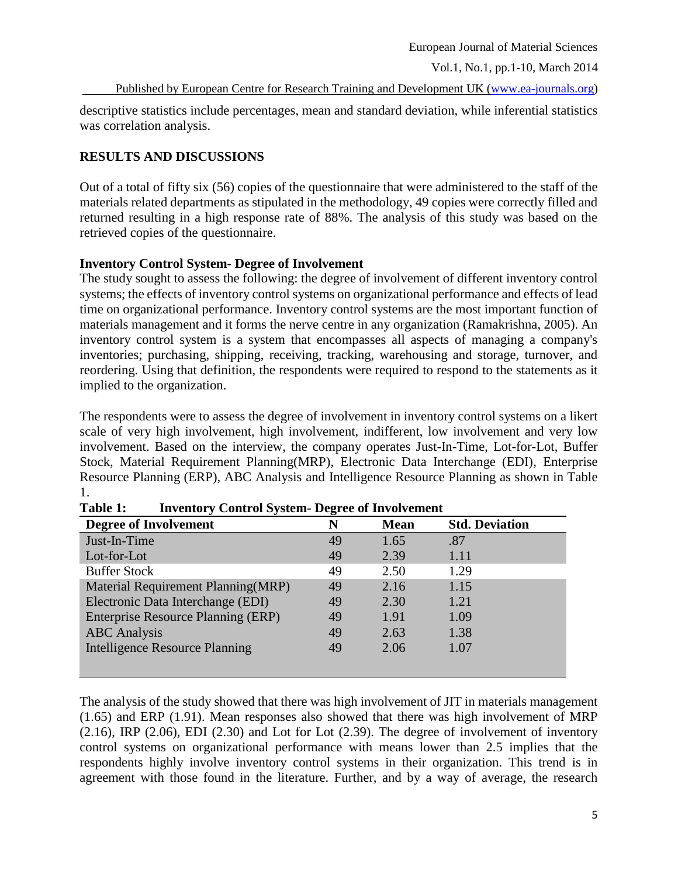Published by European Centre for Research Training and Development UK [\(www.ea-journals.org\)](http://www.ea-journals.org/)

descriptive statistics include percentages, mean and standard deviation, while inferential statistics was correlation analysis.

## **RESULTS AND DISCUSSIONS**

Out of a total of fifty six (56) copies of the questionnaire that were administered to the staff of the materials related departments as stipulated in the methodology, 49 copies were correctly filled and returned resulting in a high response rate of 88%. The analysis of this study was based on the retrieved copies of the questionnaire.

## **Inventory Control System- Degree of Involvement**

The study sought to assess the following: the degree of involvement of different inventory control systems; the effects of inventory control systems on organizational performance and effects of lead time on organizational performance. Inventory control systems are the most important function of materials management and it forms the nerve centre in any organization (Ramakrishna, 2005). An inventory control system is a system that encompasses all aspects of managing a company's inventories; purchasing, shipping, receiving, tracking, warehousing and storage, turnover, and reordering. Using that definition, the respondents were required to respond to the statements as it implied to the organization.

The respondents were to assess the degree of involvement in inventory control systems on a likert scale of very high involvement, high involvement, indifferent, low involvement and very low involvement. Based on the interview, the company operates Just-In-Time, Lot-for-Lot, Buffer Stock, Material Requirement Planning(MRP), Electronic Data Interchange (EDI), Enterprise Resource Planning (ERP), ABC Analysis and Intelligence Resource Planning as shown in Table 1.

| <b>Degree of Involvement</b>          |    | <b>Mean</b> | <b>Std. Deviation</b> |  |
|---------------------------------------|----|-------------|-----------------------|--|
| Just-In-Time                          | 49 | 1.65        | .87                   |  |
| Lot-for-Lot                           | 49 | 2.39        | 1.11                  |  |
| <b>Buffer Stock</b>                   | 49 | 2.50        | 1.29                  |  |
| Material Requirement Planning (MRP)   | 49 | 2.16        | 1.15                  |  |
| Electronic Data Interchange (EDI)     | 49 | 2.30        | 1.21                  |  |
| Enterprise Resource Planning (ERP)    | 49 | 1.91        | 1.09                  |  |
| <b>ABC</b> Analysis                   | 49 | 2.63        | 1.38                  |  |
| <b>Intelligence Resource Planning</b> | 49 | 2.06        | 1.07                  |  |
|                                       |    |             |                       |  |
|                                       |    |             |                       |  |

| Table 1: | <b>Inventory Control System- Degree of Involvement</b> |  |
|----------|--------------------------------------------------------|--|
|----------|--------------------------------------------------------|--|

The analysis of the study showed that there was high involvement of JIT in materials management (1.65) and ERP (1.91). Mean responses also showed that there was high involvement of MRP  $(2.16)$ , IRP  $(2.06)$ , EDI  $(2.30)$  and Lot for Lot  $(2.39)$ . The degree of involvement of inventory control systems on organizational performance with means lower than 2.5 implies that the respondents highly involve inventory control systems in their organization. This trend is in agreement with those found in the literature. Further, and by a way of average, the research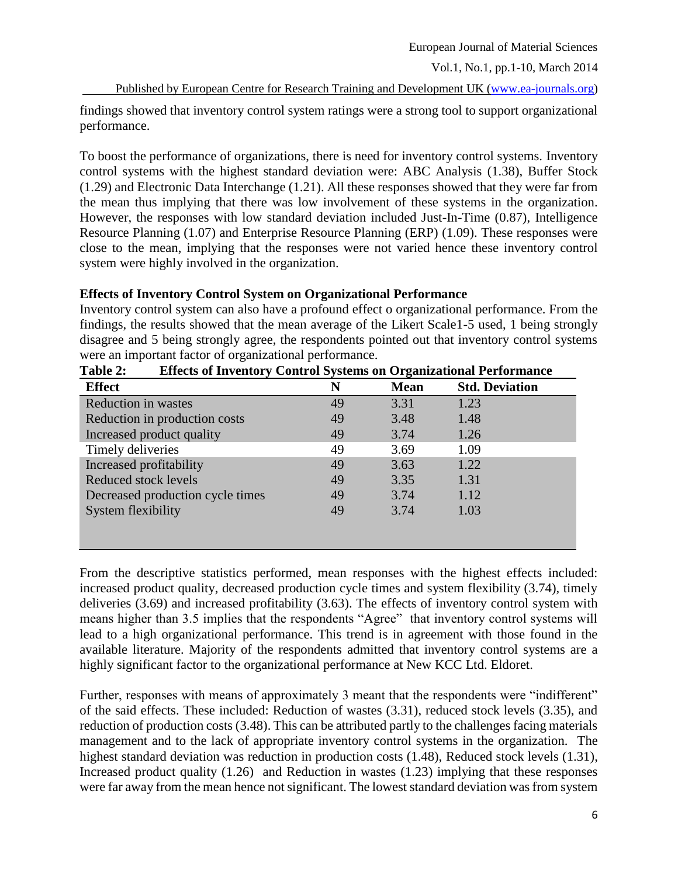Published by European Centre for Research Training and Development UK [\(www.ea-journals.org\)](http://www.ea-journals.org/)

findings showed that inventory control system ratings were a strong tool to support organizational performance.

To boost the performance of organizations, there is need for inventory control systems. Inventory control systems with the highest standard deviation were: ABC Analysis (1.38), Buffer Stock (1.29) and Electronic Data Interchange (1.21). All these responses showed that they were far from the mean thus implying that there was low involvement of these systems in the organization. However, the responses with low standard deviation included Just-In-Time (0.87), Intelligence Resource Planning (1.07) and Enterprise Resource Planning (ERP) (1.09). These responses were close to the mean, implying that the responses were not varied hence these inventory control system were highly involved in the organization.

### **Effects of Inventory Control System on Organizational Performance**

Inventory control system can also have a profound effect o organizational performance. From the findings, the results showed that the mean average of the Likert Scale1-5 used, 1 being strongly disagree and 5 being strongly agree, the respondents pointed out that inventory control systems were an important factor of organizational performance.

| <b>Effect</b>                    | N  | <b>Mean</b> | <b>Std. Deviation</b> |
|----------------------------------|----|-------------|-----------------------|
| <b>Reduction in wastes</b>       | 49 | 3.31        | 1.23                  |
| Reduction in production costs    | 49 | 3.48        | 1.48                  |
| Increased product quality        | 49 | 3.74        | 1.26                  |
| Timely deliveries                | 49 | 3.69        | 1.09                  |
| Increased profitability          | 49 | 3.63        | 1.22                  |
| Reduced stock levels             | 49 | 3.35        | 1.31                  |
| Decreased production cycle times | 49 | 3.74        | 1.12                  |
| System flexibility               | 49 | 3.74        | 1.03                  |
|                                  |    |             |                       |
|                                  |    |             |                       |

**Table 2: Effects of Inventory Control Systems on Organizational Performance**

From the descriptive statistics performed, mean responses with the highest effects included: increased product quality, decreased production cycle times and system flexibility (3.74), timely deliveries (3.69) and increased profitability (3.63). The effects of inventory control system with means higher than 3.5 implies that the respondents "Agree" that inventory control systems will lead to a high organizational performance. This trend is in agreement with those found in the available literature. Majority of the respondents admitted that inventory control systems are a highly significant factor to the organizational performance at New KCC Ltd. Eldoret.

Further, responses with means of approximately 3 meant that the respondents were "indifferent" of the said effects. These included: Reduction of wastes (3.31), reduced stock levels (3.35), and reduction of production costs (3.48). This can be attributed partly to the challenges facing materials management and to the lack of appropriate inventory control systems in the organization. The highest standard deviation was reduction in production costs (1.48), Reduced stock levels (1.31), Increased product quality (1.26) and Reduction in wastes (1.23) implying that these responses were far away from the mean hence not significant. The lowest standard deviation was from system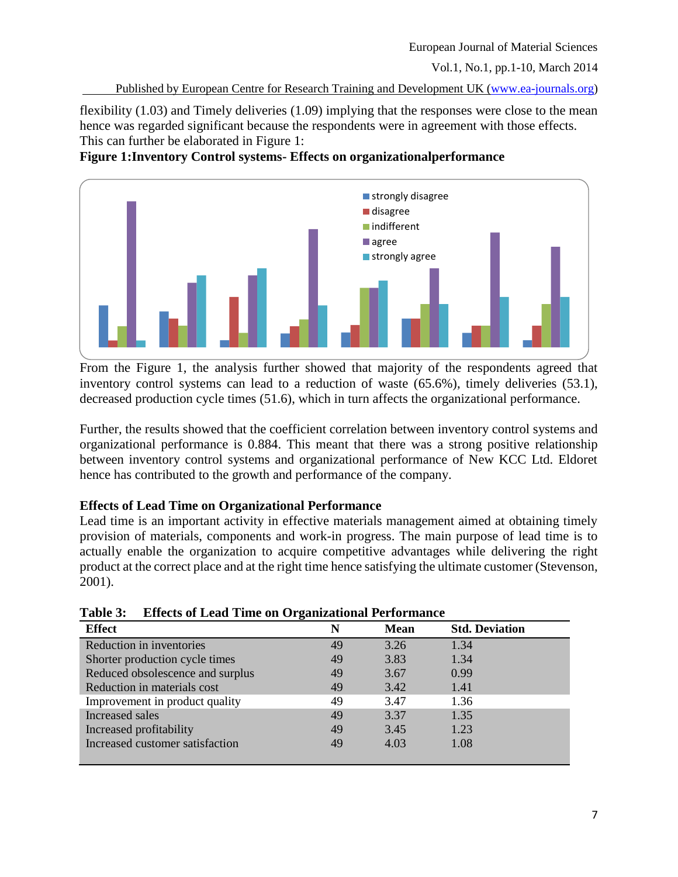Published by European Centre for Research Training and Development UK [\(www.ea-journals.org\)](http://www.ea-journals.org/)

flexibility (1.03) and Timely deliveries (1.09) implying that the responses were close to the mean hence was regarded significant because the respondents were in agreement with those effects. This can further be elaborated in Figure 1:

# **Figure 1:Inventory Control systems- Effects on organizationalperformance**



From the Figure 1, the analysis further showed that majority of the respondents agreed that inventory control systems can lead to a reduction of waste (65.6%), timely deliveries (53.1), decreased production cycle times (51.6), which in turn affects the organizational performance.

Further, the results showed that the coefficient correlation between inventory control systems and organizational performance is 0.884. This meant that there was a strong positive relationship between inventory control systems and organizational performance of New KCC Ltd. Eldoret hence has contributed to the growth and performance of the company.

# **Effects of Lead Time on Organizational Performance**

Lead time is an important activity in effective materials management aimed at obtaining timely provision of materials, components and work-in progress. The main purpose of lead time is to actually enable the organization to acquire competitive advantages while delivering the right product at the correct place and at the right time hence satisfying the ultimate customer (Stevenson, 2001).

| <b>Effect</b>                    | N  | <b>Mean</b> | <b>Std. Deviation</b> |
|----------------------------------|----|-------------|-----------------------|
| Reduction in inventories         | 49 | 3.26        | 1.34                  |
| Shorter production cycle times   | 49 | 3.83        | 1.34                  |
| Reduced obsolescence and surplus | 49 | 3.67        | 0.99                  |
| Reduction in materials cost      | 49 | 3.42        | 1.41                  |
| Improvement in product quality   | 49 | 3.47        | 1.36                  |
| Increased sales                  | 49 | 3.37        | 1.35                  |
| Increased profitability          | 49 | 3.45        | 1.23                  |
| Increased customer satisfaction  | 49 | 4.03        | 1.08                  |
|                                  |    |             |                       |

**Table 3: Effects of Lead Time on Organizational Performance**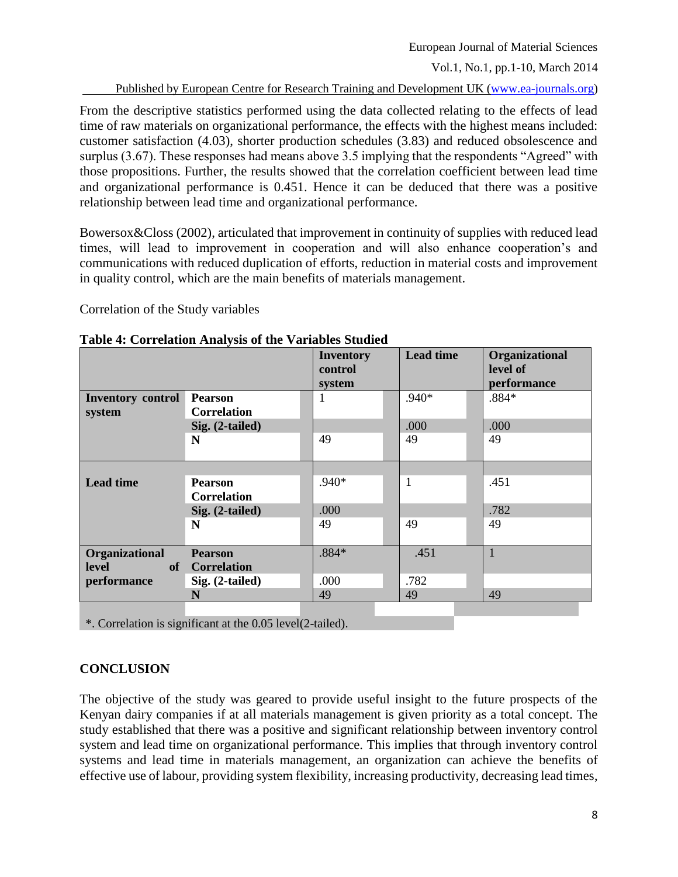Published by European Centre for Research Training and Development UK [\(www.ea-journals.org\)](http://www.ea-journals.org/)

From the descriptive statistics performed using the data collected relating to the effects of lead time of raw materials on organizational performance, the effects with the highest means included: customer satisfaction (4.03), shorter production schedules (3.83) and reduced obsolescence and surplus (3.67). These responses had means above 3.5 implying that the respondents "Agreed" with those propositions. Further, the results showed that the correlation coefficient between lead time and organizational performance is 0.451. Hence it can be deduced that there was a positive relationship between lead time and organizational performance.

Bowersox&Closs (2002), articulated that improvement in continuity of supplies with reduced lead times, will lead to improvement in cooperation and will also enhance cooperation's and communications with reduced duplication of efforts, reduction in material costs and improvement in quality control, which are the main benefits of materials management.

Correlation of the Study variables

|                          |                    | <b>Inventory</b> | <b>Lead time</b> | Organizational |
|--------------------------|--------------------|------------------|------------------|----------------|
|                          |                    | control          |                  | level of       |
|                          |                    | system           |                  | performance    |
| <b>Inventory control</b> | <b>Pearson</b>     |                  | $.940*$          | $.884*$        |
| system                   | <b>Correlation</b> |                  |                  |                |
|                          | Sig. (2-tailed)    |                  | .000             | .000           |
|                          | N                  | 49               | 49               | 49             |
|                          |                    |                  |                  |                |
|                          |                    |                  |                  |                |
| <b>Lead time</b>         | <b>Pearson</b>     | .940*            | $\mathbf{1}$     | .451           |
|                          | <b>Correlation</b> |                  |                  |                |
|                          | Sig. (2-tailed)    | .000             |                  | .782           |
|                          | N                  | 49               | 49               | 49             |
|                          |                    |                  |                  |                |
| Organizational           | <b>Pearson</b>     | $.884*$          | .451             | 1              |
| level                    | of Correlation     |                  |                  |                |
| performance              | Sig. (2-tailed)    | .000             | .782             |                |
|                          | N                  | 49               | 49               | 49             |
|                          |                    |                  |                  |                |

#### **Table 4: Correlation Analysis of the Variables Studied**

\*. Correlation is significant at the 0.05 level(2-tailed).

## **CONCLUSION**

The objective of the study was geared to provide useful insight to the future prospects of the Kenyan dairy companies if at all materials management is given priority as a total concept. The study established that there was a positive and significant relationship between inventory control system and lead time on organizational performance. This implies that through inventory control systems and lead time in materials management, an organization can achieve the benefits of effective use of labour, providing system flexibility, increasing productivity, decreasing lead times,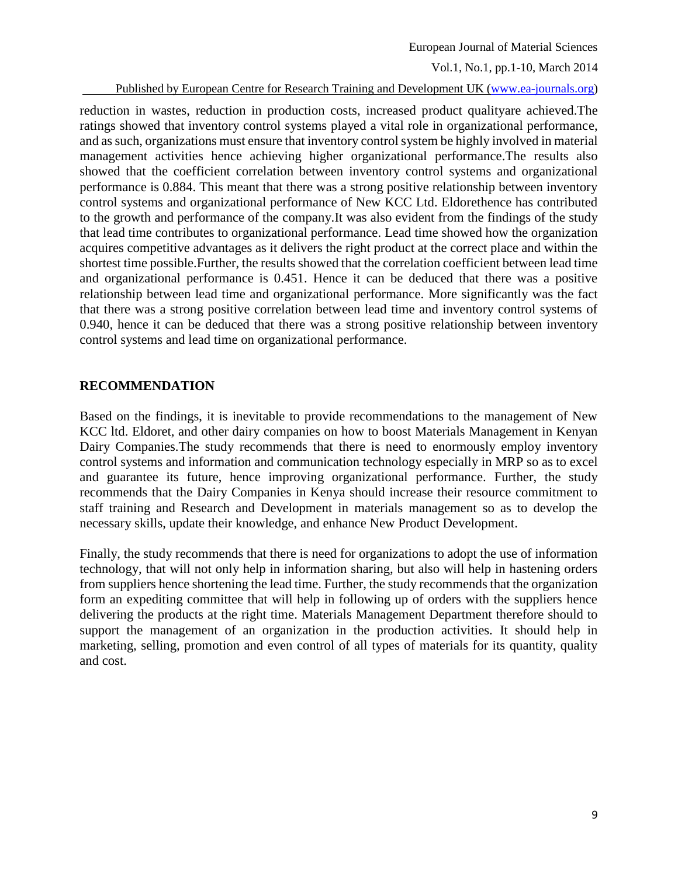European Journal of Material Sciences

Vol.1, No.1, pp.1-10, March 2014

Published by European Centre for Research Training and Development UK [\(www.ea-journals.org\)](http://www.ea-journals.org/)

reduction in wastes, reduction in production costs, increased product qualityare achieved.The ratings showed that inventory control systems played a vital role in organizational performance, and as such, organizations must ensure that inventory control system be highly involved in material management activities hence achieving higher organizational performance.The results also showed that the coefficient correlation between inventory control systems and organizational performance is 0.884. This meant that there was a strong positive relationship between inventory control systems and organizational performance of New KCC Ltd. Eldorethence has contributed to the growth and performance of the company.It was also evident from the findings of the study that lead time contributes to organizational performance. Lead time showed how the organization acquires competitive advantages as it delivers the right product at the correct place and within the shortest time possible.Further, the results showed that the correlation coefficient between lead time and organizational performance is 0.451. Hence it can be deduced that there was a positive relationship between lead time and organizational performance. More significantly was the fact that there was a strong positive correlation between lead time and inventory control systems of 0.940, hence it can be deduced that there was a strong positive relationship between inventory control systems and lead time on organizational performance.

## **RECOMMENDATION**

Based on the findings, it is inevitable to provide recommendations to the management of New KCC ltd. Eldoret, and other dairy companies on how to boost Materials Management in Kenyan Dairy Companies.The study recommends that there is need to enormously employ inventory control systems and information and communication technology especially in MRP so as to excel and guarantee its future, hence improving organizational performance. Further, the study recommends that the Dairy Companies in Kenya should increase their resource commitment to staff training and Research and Development in materials management so as to develop the necessary skills, update their knowledge, and enhance New Product Development.

Finally, the study recommends that there is need for organizations to adopt the use of information technology, that will not only help in information sharing, but also will help in hastening orders from suppliers hence shortening the lead time. Further, the study recommends that the organization form an expediting committee that will help in following up of orders with the suppliers hence delivering the products at the right time. Materials Management Department therefore should to support the management of an organization in the production activities. It should help in marketing, selling, promotion and even control of all types of materials for its quantity, quality and cost.